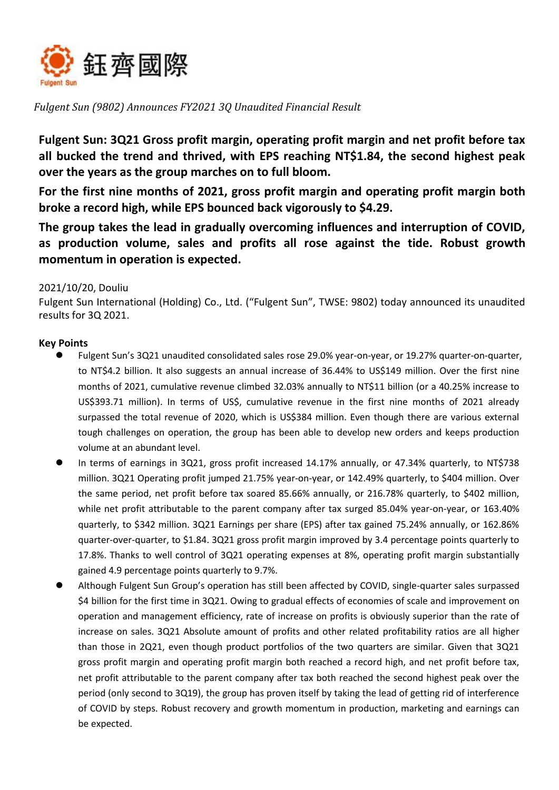

*Fulgent Sun (9802) Announces FY2021 3Q Unaudited Financial Result*

**Fulgent Sun: 3Q21 Gross profit margin, operating profit margin and net profit before tax all bucked the trend and thrived, with EPS reaching NT\$1.84, the second highest peak over the years as the group marches on to full bloom.** 

**For the first nine months of 2021, gross profit margin and operating profit margin both broke a record high, while EPS bounced back vigorously to \$4.29.** 

**The group takes the lead in gradually overcoming influences and interruption of COVID, as production volume, sales and profits all rose against the tide. Robust growth momentum in operation is expected.**

### 2021/10/20, Douliu

Fulgent Sun International (Holding) Co., Ltd. ("Fulgent Sun", TWSE: 9802) today announced its unaudited results for 3Q 2021.

# **Key Points**

- Fulgent Sun's 3Q21 unaudited consolidated sales rose 29.0% year-on-year, or 19.27% quarter-on-quarter, to NT\$4.2 billion. It also suggests an annual increase of 36.44% to US\$149 million. Over the first nine months of 2021, cumulative revenue climbed 32.03% annually to NT\$11 billion (or a 40.25% increase to US\$393.71 million). In terms of US\$, cumulative revenue in the first nine months of 2021 already surpassed the total revenue of 2020, which is US\$384 million. Even though there are various external tough challenges on operation, the group has been able to develop new orders and keeps production volume at an abundant level.
- In terms of earnings in 3Q21, gross profit increased 14.17% annually, or 47.34% quarterly, to NT\$738 million. 3Q21 Operating profit jumped 21.75% year-on-year, or 142.49% quarterly, to \$404 million. Over the same period, net profit before tax soared 85.66% annually, or 216.78% quarterly, to \$402 million, while net profit attributable to the parent company after tax surged 85.04% year-on-year, or 163.40% quarterly, to \$342 million. 3Q21 Earnings per share (EPS) after tax gained 75.24% annually, or 162.86% quarter-over-quarter, to \$1.84. 3Q21 gross profit margin improved by 3.4 percentage points quarterly to 17.8%. Thanks to well control of 3Q21 operating expenses at 8%, operating profit margin substantially gained 4.9 percentage points quarterly to 9.7%.
- Although Fulgent Sun Group's operation has still been affected by COVID, single-quarter sales surpassed \$4 billion for the first time in 3Q21. Owing to gradual effects of economies of scale and improvement on operation and management efficiency, rate of increase on profits is obviously superior than the rate of increase on sales. 3Q21 Absolute amount of profits and other related profitability ratios are all higher than those in 2Q21, even though product portfolios of the two quarters are similar. Given that 3Q21 gross profit margin and operating profit margin both reached a record high, and net profit before tax, net profit attributable to the parent company after tax both reached the second highest peak over the period (only second to 3Q19), the group has proven itself by taking the lead of getting rid of interference of COVID by steps. Robust recovery and growth momentum in production, marketing and earnings can be expected.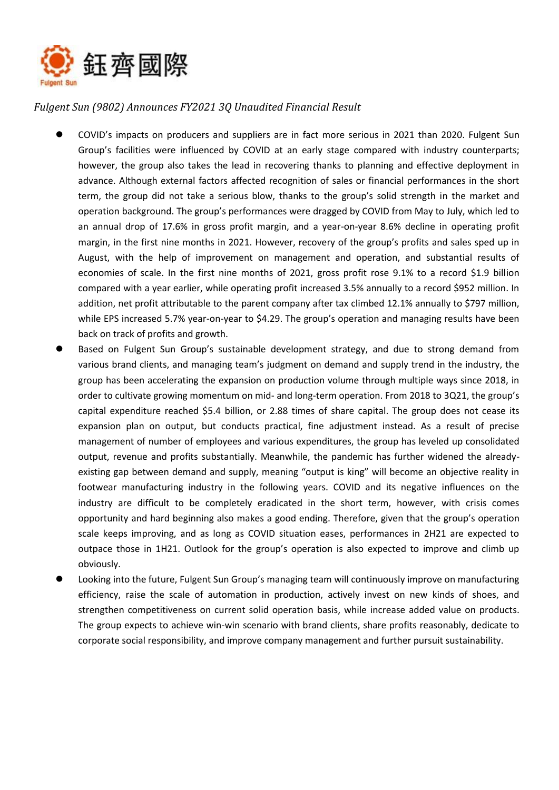

# *Fulgent Sun (9802) Announces FY2021 3Q Unaudited Financial Result*

- COVID's impacts on producers and suppliers are in fact more serious in 2021 than 2020. Fulgent Sun Group's facilities were influenced by COVID at an early stage compared with industry counterparts; however, the group also takes the lead in recovering thanks to planning and effective deployment in advance. Although external factors affected recognition of sales or financial performances in the short term, the group did not take a serious blow, thanks to the group's solid strength in the market and operation background. The group's performances were dragged by COVID from May to July, which led to an annual drop of 17.6% in gross profit margin, and a year-on-year 8.6% decline in operating profit margin, in the first nine months in 2021. However, recovery of the group's profits and sales sped up in August, with the help of improvement on management and operation, and substantial results of economies of scale. In the first nine months of 2021, gross profit rose 9.1% to a record \$1.9 billion compared with a year earlier, while operating profit increased 3.5% annually to a record \$952 million. In addition, net profit attributable to the parent company after tax climbed 12.1% annually to \$797 million, while EPS increased 5.7% year-on-year to \$4.29. The group's operation and managing results have been back on track of profits and growth.
- Based on Fulgent Sun Group's sustainable development strategy, and due to strong demand from various brand clients, and managing team's judgment on demand and supply trend in the industry, the group has been accelerating the expansion on production volume through multiple ways since 2018, in order to cultivate growing momentum on mid- and long-term operation. From 2018 to 3Q21, the group's capital expenditure reached \$5.4 billion, or 2.88 times of share capital. The group does not cease its expansion plan on output, but conducts practical, fine adjustment instead. As a result of precise management of number of employees and various expenditures, the group has leveled up consolidated output, revenue and profits substantially. Meanwhile, the pandemic has further widened the alreadyexisting gap between demand and supply, meaning "output is king" will become an objective reality in footwear manufacturing industry in the following years. COVID and its negative influences on the industry are difficult to be completely eradicated in the short term, however, with crisis comes opportunity and hard beginning also makes a good ending. Therefore, given that the group's operation scale keeps improving, and as long as COVID situation eases, performances in 2H21 are expected to outpace those in 1H21. Outlook for the group's operation is also expected to improve and climb up obviously.
- Looking into the future, Fulgent Sun Group's managing team will continuously improve on manufacturing efficiency, raise the scale of automation in production, actively invest on new kinds of shoes, and strengthen competitiveness on current solid operation basis, while increase added value on products. The group expects to achieve win-win scenario with brand clients, share profits reasonably, dedicate to corporate social responsibility, and improve company management and further pursuit sustainability.